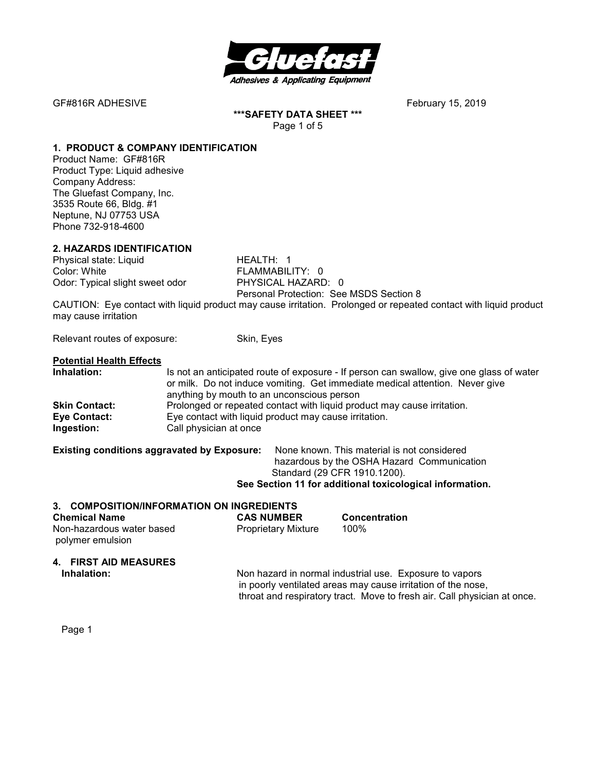

**\*\*\*SAFETY DATA SHEET \*\*\***  Page 1 of 5

#### **1. PRODUCT & COMPANY IDENTIFICATION**

Product Name: GF#816R Product Type: Liquid adhesive Company Address: The Gluefast Company, Inc. 3535 Route 66, Bldg. #1 Neptune, NJ 07753 USA Phone 732-918-4600

# **2. HAZARDS IDENTIFICATION**

Physical state: Liquid HEALTH: 1 Color: White **FLAMMABILITY:** 0 Odor: Typical slight sweet odor PHYSICAL HAZARD: 0

Personal Protection: See MSDS Section 8

CAUTION: Eye contact with liquid product may cause irritation. Prolonged or repeated contact with liquid product may cause irritation

Relevant routes of exposure: Skin, Eyes

#### **Potential Health Effects**

| Inhalation:          | Is not an anticipated route of exposure - If person can swallow, give one glass of water |  |
|----------------------|------------------------------------------------------------------------------------------|--|
|                      | or milk. Do not induce vomiting. Get immediate medical attention. Never give             |  |
|                      | anything by mouth to an unconscious person                                               |  |
| <b>Skin Contact:</b> | Prolonged or repeated contact with liquid product may cause irritation.                  |  |
| Eye Contact:         | Eye contact with liquid product may cause irritation.                                    |  |
| Ingestion:           | Call physician at once                                                                   |  |

#### **Existing conditions aggravated by Exposure:** None known. This material is not considered

 hazardous by the OSHA Hazard Communication Standard (29 CFR 1910.1200).

# **See Section 11 for additional toxicological information.**

#### **3. COMPOSITION/INFORMATION ON INGREDIENTS**

| <b>Chemical Name</b>      | <b>CAS NUMBER</b>   | <b>Concentration</b> |
|---------------------------|---------------------|----------------------|
| Non-hazardous water based | Proprietary Mixture | 100%                 |
| polymer emulsion          |                     |                      |

#### **4. FIRST AID MEASURES**

**Inhalation:** Non hazard in normal industrial use. Exposure to vapors in poorly ventilated areas may cause irritation of the nose, throat and respiratory tract. Move to fresh air. Call physician at once.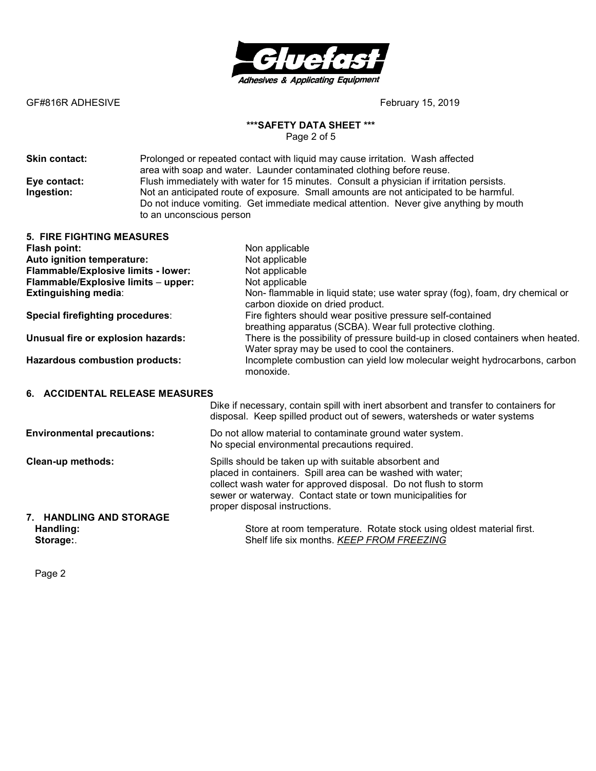

## **\*\*\*SAFETY DATA SHEET \*\*\***

Page 2 of 5

**Skin contact:** Prolonged or repeated contact with liquid may cause irritation.Wash affected area with soap and water. Launder contaminated clothing before reuse. **Eye contact:** Flush immediately with water for 15 minutes. Consult a physician if irritation persists.<br> **Ingestion:** Not an anticipated route of exposure. Small amounts are not anticipated to be harmfu Not an anticipated route of exposure. Small amounts are not anticipated to be harmful. Do not induce vomiting. Get immediate medical attention. Never give anything by mouth to an unconscious person

| <b>5. FIRE FIGHTING MEASURES</b>        |                                                                                                                                                                   |
|-----------------------------------------|-------------------------------------------------------------------------------------------------------------------------------------------------------------------|
| Flash point:                            | Non applicable                                                                                                                                                    |
| Auto ignition temperature:              | Not applicable                                                                                                                                                    |
| Flammable/Explosive limits - lower:     | Not applicable                                                                                                                                                    |
| Flammable/Explosive limits - upper:     | Not applicable                                                                                                                                                    |
| <b>Extinguishing media:</b>             | Non-flammable in liquid state; use water spray (fog), foam, dry chemical or<br>carbon dioxide on dried product.                                                   |
| <b>Special firefighting procedures:</b> | Fire fighters should wear positive pressure self-contained<br>breathing apparatus (SCBA). Wear full protective clothing.                                          |
| Unusual fire or explosion hazards:      | There is the possibility of pressure build-up in closed containers when heated.<br>Water spray may be used to cool the containers.                                |
| <b>Hazardous combustion products:</b>   | Incomplete combustion can yield low molecular weight hydrocarbons, carbon<br>monoxide.                                                                            |
| 6. ACCIDENTAL RELEASE MEASURES          |                                                                                                                                                                   |
|                                         | Dike if necessary, contain spill with inert absorbent and transfer to containers for<br>disposal. Keep spilled product out of sewers, watersheds or water systems |
| <b>Environmental precautions:</b>       | Do not allow material to contaminate ground water system.<br>No special environmental precautions required.                                                       |

**Clean-up methods: Spills should be taken up with suitable absorbent and**  placed in containers. Spill area can be washed with water; collect wash water for approved disposal. Do not flush to storm sewer or waterway. Contact state or town municipalities for proper disposal instructions. **7. HANDLING AND STORAGE** 

**Handling:** Store at room temperature. Rotate stock using oldest material first. **Storage:**. Shelf life six months. *KEEP FROM FREEZING*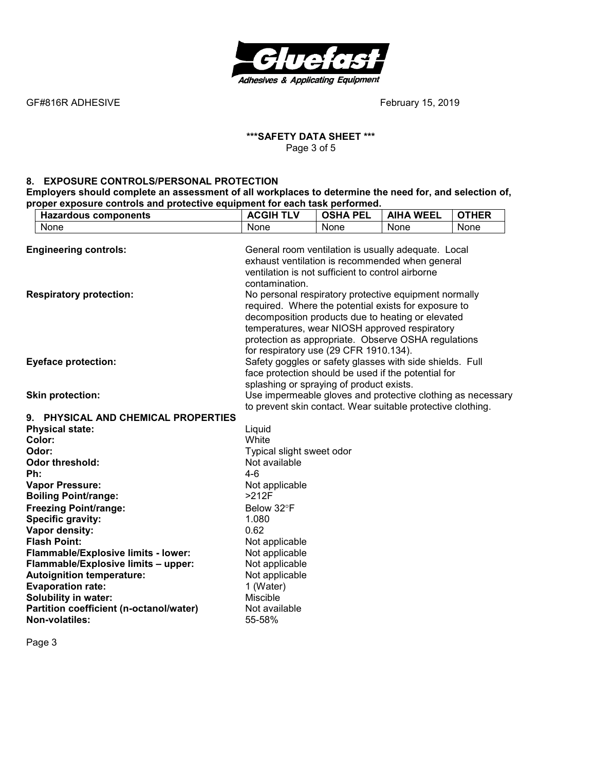

#### **\*\*\*SAFETY DATA SHEET \*\*\***  Page 3 of 5

#### **8. EXPOSURE CONTROLS/PERSONAL PROTECTION**

**Employers should complete an assessment of all workplaces to determine the need for, and selection of, proper exposure controls and protective equipment for each task performed.** 

| <b>Hazardous components</b>             | <b>ACGIH TLV</b>                                            | <b>OSHA PEL</b> | <b>AIHA WEEL</b> | <b>OTHER</b> |
|-----------------------------------------|-------------------------------------------------------------|-----------------|------------------|--------------|
| None                                    | None                                                        | None            | None             | None         |
|                                         |                                                             |                 |                  |              |
| <b>Engineering controls:</b>            | General room ventilation is usually adequate. Local         |                 |                  |              |
|                                         | exhaust ventilation is recommended when general             |                 |                  |              |
|                                         | ventilation is not sufficient to control airborne           |                 |                  |              |
|                                         | contamination.                                              |                 |                  |              |
| <b>Respiratory protection:</b>          | No personal respiratory protective equipment normally       |                 |                  |              |
|                                         | required. Where the potential exists for exposure to        |                 |                  |              |
|                                         | decomposition products due to heating or elevated           |                 |                  |              |
|                                         | temperatures, wear NIOSH approved respiratory               |                 |                  |              |
|                                         | protection as appropriate. Observe OSHA regulations         |                 |                  |              |
|                                         | for respiratory use (29 CFR 1910.134).                      |                 |                  |              |
| <b>Eyeface protection:</b>              | Safety goggles or safety glasses with side shields. Full    |                 |                  |              |
|                                         | face protection should be used if the potential for         |                 |                  |              |
|                                         | splashing or spraying of product exists.                    |                 |                  |              |
| <b>Skin protection:</b>                 | Use impermeable gloves and protective clothing as necessary |                 |                  |              |
|                                         | to prevent skin contact. Wear suitable protective clothing. |                 |                  |              |
| 9. PHYSICAL AND CHEMICAL PROPERTIES     |                                                             |                 |                  |              |
| <b>Physical state:</b>                  | Liquid                                                      |                 |                  |              |
| Color:                                  | White                                                       |                 |                  |              |
| Odor:                                   | Typical slight sweet odor                                   |                 |                  |              |
| <b>Odor threshold:</b>                  | Not available                                               |                 |                  |              |
| Ph:                                     | $4 - 6$                                                     |                 |                  |              |
| <b>Vapor Pressure:</b>                  | Not applicable                                              |                 |                  |              |
| <b>Boiling Point/range:</b>             | >212F                                                       |                 |                  |              |
| <b>Freezing Point/range:</b>            | Below 32°F                                                  |                 |                  |              |
| <b>Specific gravity:</b>                | 1.080<br>0.62                                               |                 |                  |              |
| Vapor density:<br><b>Flash Point:</b>   |                                                             |                 |                  |              |
| Flammable/Explosive limits - lower:     | Not applicable<br>Not applicable                            |                 |                  |              |
| Flammable/Explosive limits - upper:     | Not applicable                                              |                 |                  |              |
| <b>Autoignition temperature:</b>        | Not applicable                                              |                 |                  |              |
| <b>Evaporation rate:</b>                | 1 (Water)                                                   |                 |                  |              |
| <b>Solubility in water:</b>             | <b>Miscible</b>                                             |                 |                  |              |
| Partition coefficient (n-octanol/water) | Not available                                               |                 |                  |              |
| Non-volatiles:                          | 55-58%                                                      |                 |                  |              |
|                                         |                                                             |                 |                  |              |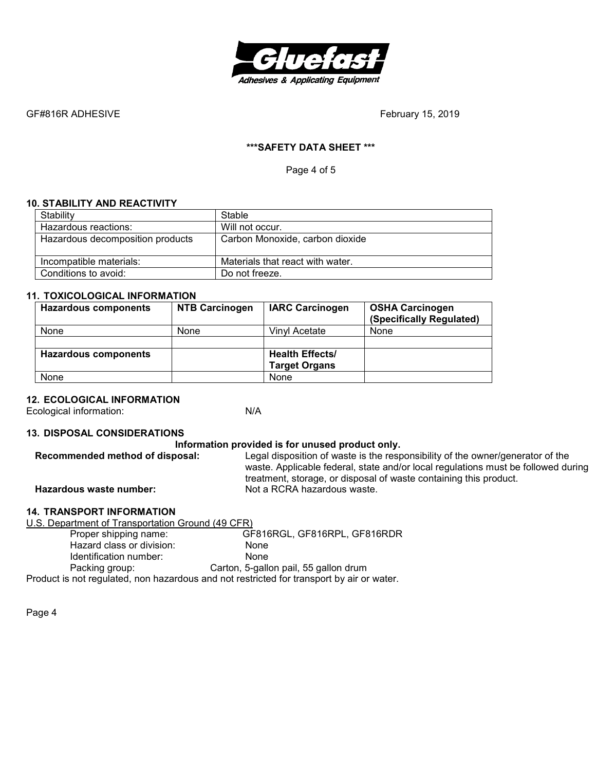

## **\*\*\*SAFETY DATA SHEET \*\*\***

Page 4 of 5

# **10. STABILITY AND REACTIVITY**

| Stability                        | Stable                           |
|----------------------------------|----------------------------------|
| Hazardous reactions:             | Will not occur.                  |
| Hazardous decomposition products | Carbon Monoxide, carbon dioxide  |
| Incompatible materials:          | Materials that react with water. |
| Conditions to avoid:             | Do not freeze.                   |

# **11. TOXICOLOGICAL INFORMATION**

| <b>Hazardous components</b> | <b>NTB Carcinogen</b> | <b>IARC Carcinogen</b> | <b>OSHA Carcinogen</b><br>(Specifically Regulated) |
|-----------------------------|-----------------------|------------------------|----------------------------------------------------|
| None                        | None                  | Vinvl Acetate          | <b>None</b>                                        |
|                             |                       |                        |                                                    |
| <b>Hazardous components</b> |                       | <b>Health Effects/</b> |                                                    |
|                             |                       | <b>Target Organs</b>   |                                                    |
| None                        |                       | None                   |                                                    |

# **12. ECOLOGICAL INFORMATION**

Ecological information: N/A

#### **13. DISPOSAL CONSIDERATIONS**

| Information provided is for unused product only. |                                                                                                                                                                                                                                          |  |  |
|--------------------------------------------------|------------------------------------------------------------------------------------------------------------------------------------------------------------------------------------------------------------------------------------------|--|--|
| Recommended method of disposal:                  | Legal disposition of waste is the responsibility of the owner/generator of the<br>waste. Applicable federal, state and/or local regulations must be followed during<br>treatment, storage, or disposal of waste containing this product. |  |  |
| Hazardous waste number:                          | Not a RCRA hazardous waste.                                                                                                                                                                                                              |  |  |

## **14. TRANSPORT INFORMATION**

| U.S. Department of Transportation Ground (49 CFR)                                         |                                       |  |
|-------------------------------------------------------------------------------------------|---------------------------------------|--|
| Proper shipping name:                                                                     | GF816RGL, GF816RPL, GF816RDR          |  |
| Hazard class or division:                                                                 | None                                  |  |
| Identification number:                                                                    | <b>None</b>                           |  |
| Packing group:                                                                            | Carton, 5-gallon pail, 55 gallon drum |  |
| Product is not regulated, non hazardous and not restricted for transport by air or water. |                                       |  |
|                                                                                           |                                       |  |